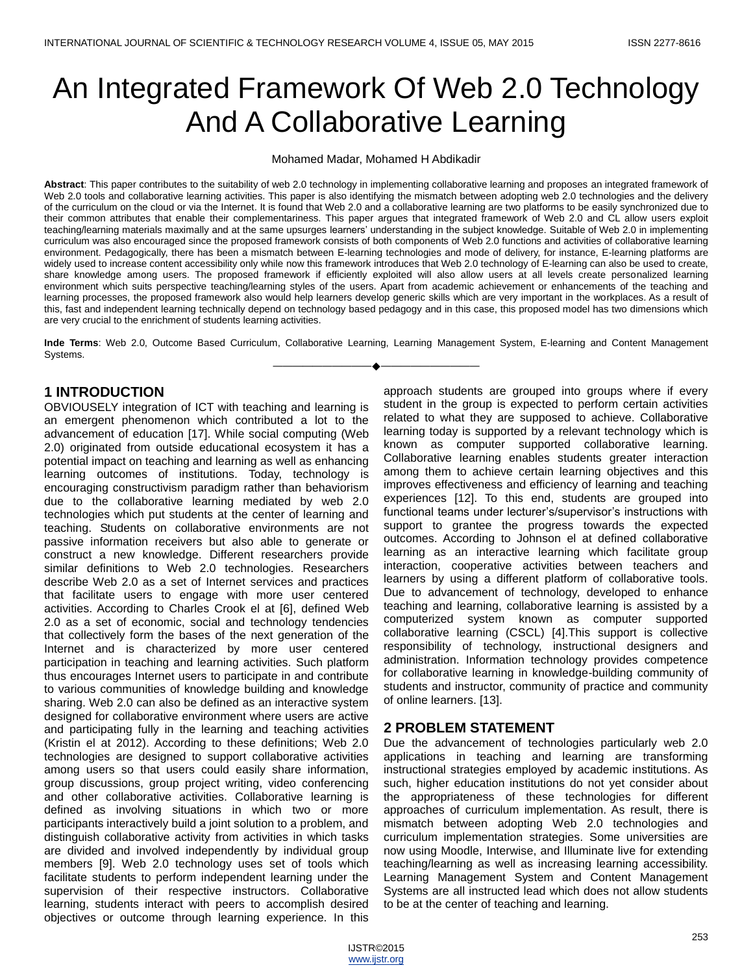# An Integrated Framework Of Web 2.0 Technology And A Collaborative Learning

Mohamed Madar, Mohamed H Abdikadir

**Abstract**: This paper contributes to the suitability of web 2.0 technology in implementing collaborative learning and proposes an integrated framework of Web 2.0 tools and collaborative learning activities. This paper is also identifying the mismatch between adopting web 2.0 technologies and the delivery of the curriculum on the cloud or via the Internet. It is found that Web 2.0 and a collaborative learning are two platforms to be easily synchronized due to their common attributes that enable their complementariness. This paper argues that integrated framework of Web 2.0 and CL allow users exploit teaching/learning materials maximally and at the same upsurges learners' understanding in the subject knowledge. Suitable of Web 2.0 in implementing curriculum was also encouraged since the proposed framework consists of both components of Web 2.0 functions and activities of collaborative learning environment. Pedagogically, there has been a mismatch between E-learning technologies and mode of delivery, for instance, E-learning platforms are widely used to increase content accessibility only while now this framework introduces that Web 2.0 technology of E-learning can also be used to create, share knowledge among users. The proposed framework if efficiently exploited will also allow users at all levels create personalized learning environment which suits perspective teaching/learning styles of the users. Apart from academic achievement or enhancements of the teaching and learning processes, the proposed framework also would help learners develop generic skills which are very important in the workplaces. As a result of this, fast and independent learning technically depend on technology based pedagogy and in this case, this proposed model has two dimensions which are very crucial to the enrichment of students learning activities.

**Inde Terms**: Web 2.0, Outcome Based Curriculum, Collaborative Learning, Learning Management System, E-learning and Content Management Systems. ————————————————————

## **1 INTRODUCTION**

OBVIOUSELY integration of ICT with teaching and learning is an emergent phenomenon which contributed a lot to the advancement of education [17]. While social computing (Web 2.0) originated from outside educational ecosystem it has a potential impact on teaching and learning as well as enhancing learning outcomes of institutions. Today, technology is encouraging constructivism paradigm rather than behaviorism due to the collaborative learning mediated by web 2.0 technologies which put students at the center of learning and teaching. Students on collaborative environments are not passive information receivers but also able to generate or construct a new knowledge. Different researchers provide similar definitions to Web 2.0 technologies. Researchers describe Web 2.0 as a set of Internet services and practices that facilitate users to engage with more user centered activities. According to Charles Crook el at [6], defined Web 2.0 as a set of economic, social and technology tendencies that collectively form the bases of the next generation of the Internet and is characterized by more user centered participation in teaching and learning activities. Such platform thus encourages Internet users to participate in and contribute to various communities of knowledge building and knowledge sharing. Web 2.0 can also be defined as an interactive system designed for collaborative environment where users are active and participating fully in the learning and teaching activities (Kristin el at 2012). According to these definitions; Web 2.0 technologies are designed to support collaborative activities among users so that users could easily share information, group discussions, group project writing, video conferencing and other collaborative activities. Collaborative learning is defined as involving situations in which two or more participants interactively build a joint solution to a problem, and distinguish collaborative activity from activities in which tasks are divided and involved independently by individual group members [9]. Web 2.0 technology uses set of tools which facilitate students to perform independent learning under the supervision of their respective instructors. Collaborative learning, students interact with peers to accomplish desired objectives or outcome through learning experience. In this

approach students are grouped into groups where if every student in the group is expected to perform certain activities related to what they are supposed to achieve. Collaborative learning today is supported by a relevant technology which is known as computer supported collaborative learning. Collaborative learning enables students greater interaction among them to achieve certain learning objectives and this improves effectiveness and efficiency of learning and teaching experiences [12]. To this end, students are grouped into functional teams under lecturer's/supervisor's instructions with support to grantee the progress towards the expected outcomes. According to Johnson el at defined collaborative learning as an interactive learning which facilitate group interaction, cooperative activities between teachers and learners by using a different platform of collaborative tools. Due to advancement of technology, developed to enhance teaching and learning, collaborative learning is assisted by a computerized system known as computer supported collaborative learning (CSCL) [4].This support is collective responsibility of technology, instructional designers and administration. Information technology provides competence for collaborative learning in knowledge-building community of students and instructor, community of practice and community of online learners. [13].

## **2 PROBLEM STATEMENT**

Due the advancement of technologies particularly web 2.0 applications in teaching and learning are transforming instructional strategies employed by academic institutions. As such, higher education institutions do not yet consider about the appropriateness of these technologies for different approaches of curriculum implementation. As result, there is mismatch between adopting Web 2.0 technologies and curriculum implementation strategies. Some universities are now using Moodle, Interwise, and Illuminate live for extending teaching/learning as well as increasing learning accessibility. Learning Management System and Content Management Systems are all instructed lead which does not allow students to be at the center of teaching and learning.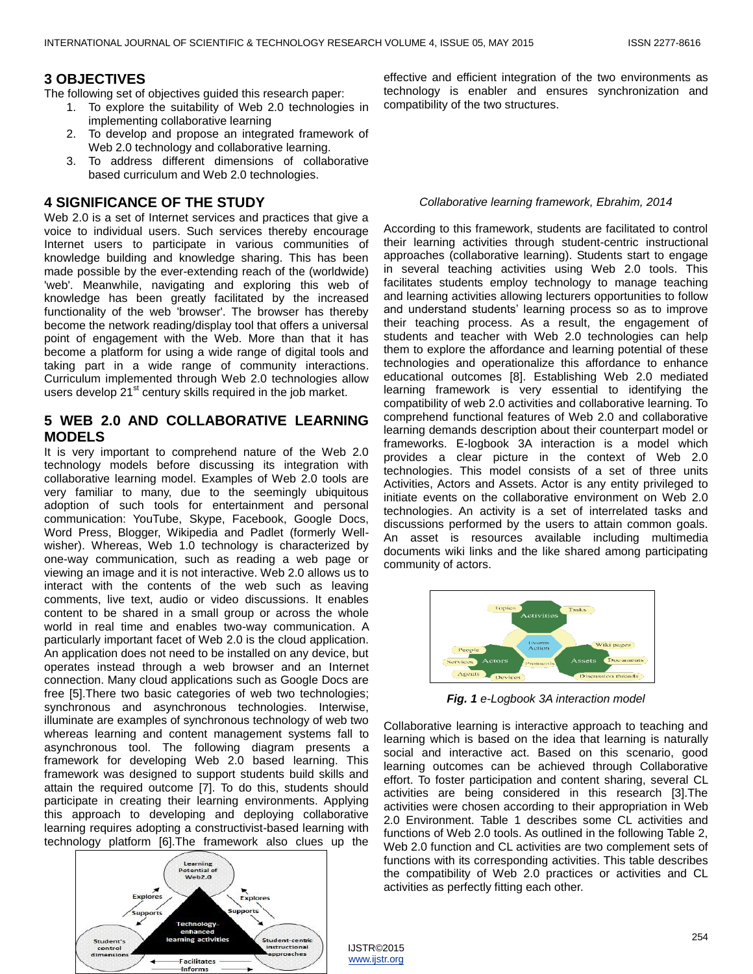## **3 OBJECTIVES**

The following set of objectives guided this research paper:

- 1. To explore the suitability of Web 2.0 technologies in implementing collaborative learning
- 2. To develop and propose an integrated framework of Web 2.0 technology and collaborative learning.
- 3. To address different dimensions of collaborative based curriculum and Web 2.0 technologies.

## **4 SIGNIFICANCE OF THE STUDY**

Web 2.0 is a set of Internet services and practices that give a voice to individual users. Such services thereby encourage Internet users to participate in various communities of knowledge building and knowledge sharing. This has been made possible by the ever-extending reach of the (worldwide) 'web'. Meanwhile, navigating and exploring this web of knowledge has been greatly facilitated by the increased functionality of the web 'browser'. The browser has thereby become the network reading/display tool that offers a universal point of engagement with the Web. More than that it has become a platform for using a wide range of digital tools and taking part in a wide range of community interactions. Curriculum implemented through Web 2.0 technologies allow users develop 21<sup>st</sup> century skills required in the job market.

## **5 WEB 2.0 AND COLLABORATIVE LEARNING MODELS**

It is very important to comprehend nature of the Web 2.0 technology models before discussing its integration with collaborative learning model. Examples of Web 2.0 tools are very familiar to many, due to the seemingly ubiquitous adoption of such tools for entertainment and personal communication: YouTube, Skype, Facebook, Google Docs, Word Press, Blogger, Wikipedia and Padlet (formerly Wellwisher). Whereas, Web 1.0 technology is characterized by one-way communication, such as reading a web page or viewing an image and it is not interactive. Web 2.0 allows us to interact with the contents of the web such as leaving comments, live text, audio or video discussions. It enables content to be shared in a small group or across the whole world in real time and enables two-way communication. A particularly important facet of Web 2.0 is the cloud application. An application does not need to be installed on any device, but operates instead through a web browser and an Internet connection. Many cloud applications such as Google Docs are free [5].There two basic categories of web two technologies; synchronous and asynchronous technologies. Interwise, illuminate are examples of synchronous technology of web two whereas learning and content management systems fall to asynchronous tool. The following diagram presents a framework for developing Web 2.0 based learning. This framework was designed to support students build skills and attain the required outcome [7]. To do this, students should participate in creating their learning environments. Applying this approach to developing and deploying collaborative learning requires adopting a constructivist-based learning with technology platform [6].The framework also clues up the



effective and efficient integration of the two environments as technology is enabler and ensures synchronization and compatibility of the two structures.

#### *Collaborative learning framework, Ebrahim, 2014*

According to this framework, students are facilitated to control their learning activities through student-centric instructional approaches (collaborative learning). Students start to engage in several teaching activities using Web 2.0 tools. This facilitates students employ technology to manage teaching and learning activities allowing lecturers opportunities to follow and understand students' learning process so as to improve their teaching process. As a result, the engagement of students and teacher with Web 2.0 technologies can help them to explore the affordance and learning potential of these technologies and operationalize this affordance to enhance educational outcomes [8]. Establishing Web 2.0 mediated learning framework is very essential to identifying the compatibility of web 2.0 activities and collaborative learning. To comprehend functional features of Web 2.0 and collaborative learning demands description about their counterpart model or frameworks. E-logbook 3A interaction is a model which provides a clear picture in the context of Web 2.0 technologies. This model consists of a set of three units Activities, Actors and Assets. Actor is any entity privileged to initiate events on the collaborative environment on Web 2.0 technologies. An activity is a set of interrelated tasks and discussions performed by the users to attain common goals. An asset is resources available including multimedia documents wiki links and the like shared among participating community of actors.



*Fig. 1 e-Logbook 3A interaction model*

Collaborative learning is interactive approach to teaching and learning which is based on the idea that learning is naturally social and interactive act. Based on this scenario, good learning outcomes can be achieved through Collaborative effort. To foster participation and content sharing, several CL activities are being considered in this research [3].The activities were chosen according to their appropriation in Web 2.0 Environment. Table 1 describes some CL activities and functions of Web 2.0 tools. As outlined in the following Table 2, Web 2.0 function and CL activities are two complement sets of functions with its corresponding activities. This table describes the compatibility of Web 2.0 practices or activities and CL activities as perfectly fitting each other.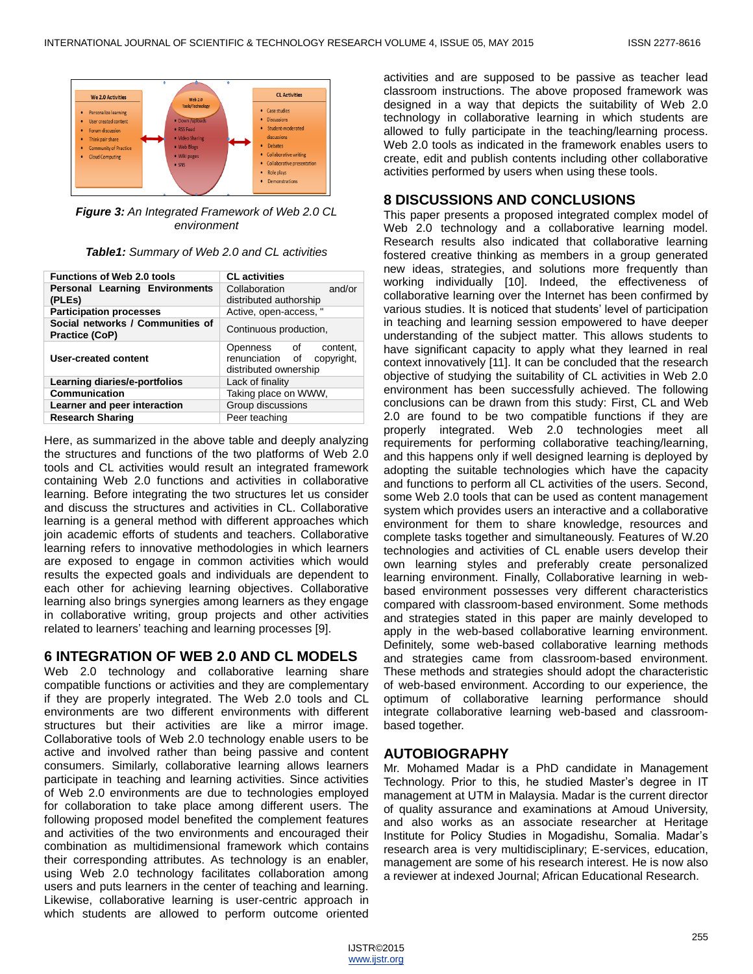

*Figure 3: An Integrated Framework of Web 2.0 CL environment*

| <b>Functions of Web 2.0 tools</b>                  | <b>CL</b> activities                                                              |
|----------------------------------------------------|-----------------------------------------------------------------------------------|
| <b>Personal Learning Environments</b><br>(PLEs)    | and/or<br>Collaboration<br>distributed authorship                                 |
| <b>Participation processes</b>                     | Active, open-access, "                                                            |
| Social networks / Communities of<br>Practice (CoP) | Continuous production,                                                            |
| <b>User-created content</b>                        | Openness of<br>content.<br>renunciation of<br>copyright,<br>distributed ownership |
| Learning diaries/e-portfolios                      | Lack of finality                                                                  |
| Communication                                      | Taking place on WWW,                                                              |
| Learner and peer interaction                       | Group discussions                                                                 |
| <b>Research Sharing</b>                            | Peer teaching                                                                     |

Here, as summarized in the above table and deeply analyzing the structures and functions of the two platforms of Web 2.0 tools and CL activities would result an integrated framework containing Web 2.0 functions and activities in collaborative learning. Before integrating the two structures let us consider and discuss the structures and activities in CL. Collaborative learning is a general method with different approaches which join academic efforts of students and teachers. Collaborative learning refers to innovative methodologies in which learners are exposed to engage in common activities which would results the expected goals and individuals are dependent to each other for achieving learning objectives. Collaborative learning also brings synergies among learners as they engage in collaborative writing, group projects and other activities related to learners' teaching and learning processes [9].

## **6 INTEGRATION OF WEB 2.0 AND CL MODELS**

Web 2.0 technology and collaborative learning share compatible functions or activities and they are complementary if they are properly integrated. The Web 2.0 tools and CL environments are two different environments with different structures but their activities are like a mirror image. Collaborative tools of Web 2.0 technology enable users to be active and involved rather than being passive and content consumers. Similarly, collaborative learning allows learners participate in teaching and learning activities. Since activities of Web 2.0 environments are due to technologies employed for collaboration to take place among different users. The following proposed model benefited the complement features and activities of the two environments and encouraged their combination as multidimensional framework which contains their corresponding attributes. As technology is an enabler, using Web 2.0 technology facilitates collaboration among users and puts learners in the center of teaching and learning. Likewise, collaborative learning is user-centric approach in which students are allowed to perform outcome oriented

activities and are supposed to be passive as teacher lead classroom instructions. The above proposed framework was designed in a way that depicts the suitability of Web 2.0 technology in collaborative learning in which students are allowed to fully participate in the teaching/learning process. Web 2.0 tools as indicated in the framework enables users to create, edit and publish contents including other collaborative activities performed by users when using these tools.

## **8 DISCUSSIONS AND CONCLUSIONS**

This paper presents a proposed integrated complex model of Web 2.0 technology and a collaborative learning model. Research results also indicated that collaborative learning fostered creative thinking as members in a group generated new ideas, strategies, and solutions more frequently than working individually [10]. Indeed, the effectiveness of collaborative learning over the Internet has been confirmed by various studies. It is noticed that students' level of participation in teaching and learning session empowered to have deeper understanding of the subject matter. This allows students to have significant capacity to apply what they learned in real context innovatively [11]. It can be concluded that the research objective of studying the suitability of CL activities in Web 2.0 environment has been successfully achieved. The following conclusions can be drawn from this study: First, CL and Web 2.0 are found to be two compatible functions if they are properly integrated. Web 2.0 technologies meet all requirements for performing collaborative teaching/learning, and this happens only if well designed learning is deployed by adopting the suitable technologies which have the capacity and functions to perform all CL activities of the users. Second, some Web 2.0 tools that can be used as content management system which provides users an interactive and a collaborative environment for them to share knowledge, resources and complete tasks together and simultaneously. Features of W.20 technologies and activities of CL enable users develop their own learning styles and preferably create personalized learning environment. Finally, Collaborative learning in webbased environment possesses very different characteristics compared with classroom-based environment. Some methods and strategies stated in this paper are mainly developed to apply in the web-based collaborative learning environment. Definitely, some web-based collaborative learning methods and strategies came from classroom-based environment. These methods and strategies should adopt the characteristic of web-based environment. According to our experience, the optimum of collaborative learning performance should integrate collaborative learning web-based and classroombased together.

## **AUTOBIOGRAPHY**

Mr. Mohamed Madar is a PhD candidate in Management Technology. Prior to this, he studied Master's degree in IT management at UTM in Malaysia. Madar is the current director of quality assurance and examinations at Amoud University, and also works as an associate researcher at Heritage Institute for Policy Studies in Mogadishu, Somalia. Madar's research area is very multidisciplinary; E-services, education, management are some of his research interest. He is now also a reviewer at indexed Journal; African Educational Research.